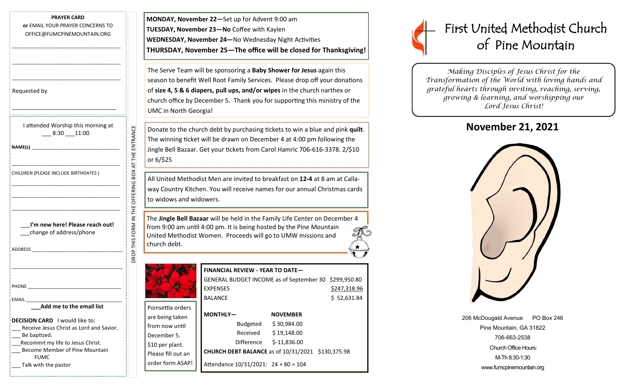| <b>PRAYER CARD</b>               |  |  |  |  |
|----------------------------------|--|--|--|--|
| or EMAIL YOUR PRAYER CONCERNS TO |  |  |  |  |
| OFFICE@FUMCPINEMOUNTAIN.ORG      |  |  |  |  |

\_\_\_\_\_\_\_\_\_\_\_\_\_\_\_\_\_\_\_\_\_\_\_\_\_\_\_\_\_\_\_\_\_\_\_\_\_\_\_\_\_\_\_

\_\_\_\_\_\_\_\_\_\_\_\_\_\_\_\_\_\_\_\_\_\_\_\_\_\_\_\_\_\_\_\_\_\_\_\_\_\_\_\_\_\_\_

\_\_\_\_\_\_\_\_\_\_\_\_\_\_\_\_\_\_\_\_\_\_\_\_\_\_\_\_\_\_\_\_\_\_\_\_\_\_\_\_\_\_\_

\_\_\_\_\_\_\_\_\_\_\_\_\_\_\_\_\_\_\_\_\_\_\_\_\_\_\_\_\_\_\_\_\_

| Requested by |  |
|--------------|--|
|--------------|--|

| I attended Worship this morning at |       |
|------------------------------------|-------|
| 8:30                               | 11:00 |

|  | CHILDREN (PLEASE INCLUDE BIRTHDATES) |  |
|--|--------------------------------------|--|

| I'm new here! Please reach out! |  |
|---------------------------------|--|
| change of address/phone         |  |

| ארורוב |
|--------|
|--------|

| rattended worship this morning at<br>$-8:30 - 11:00$                                      |                                                    |
|-------------------------------------------------------------------------------------------|----------------------------------------------------|
|                                                                                           |                                                    |
| CHILDREN (PLEASE INCLUDE BIRTHDATES)                                                      |                                                    |
| the control of the control of the control of the control of the control of the control of |                                                    |
|                                                                                           |                                                    |
|                                                                                           |                                                    |
| I'm new here! Please reach out!<br>__change of address/phone                              | DROP THIS FORM IN THE OFFERING BOX AT THE ENTRANCE |
|                                                                                           |                                                    |
|                                                                                           |                                                    |
|                                                                                           |                                                    |
| EMAIL<br>Add me to the email list                                                         |                                                    |
|                                                                                           |                                                    |

| <b>DECISION CARD</b> I would like to:    |
|------------------------------------------|
| Receive Jesus Christ as Lord and Savior. |
| Be baptized.                             |
| Recommit my life to Jesus Christ.        |
| Become Member of Pine Mountain           |
| <b>FUMC</b>                              |
| Talk with the pastor                     |

**MONDAY, November 22—**Set up for Advent 9:00 am **TUESDAY, November 23—No** Coffee with Kaylen **WEDNESDAY, November 24—**No Wednesday Night Activities **THURSDAY, November 25—The office will be closed for Thanksgiving!**

The Serve Team will be sponsoring a **Baby Shower for Jesus** again this season to benefit Well Root Family Services. Please drop off your donations of **size 4, 5 & 6 diapers, pull ups, and/or wipes** in the church narthex or church office by December 5. Thank you for supporting this ministry of the UMC in North Georgia!

Donate to the church debt by purchasing tickets to win a blue and pink **quilt**. The winning ticket will be drawn on December 4 at 4:00 pm following the Jingle Bell Bazaar. Get your tickets from Carol Hamric 706-616-3378. 2/\$10 or 6/\$25

All United Methodist Men are invited to breakfast on **12-4** at 8 am at Callaway Country Kitchen. You will receive names for our annual Christmas cards to widows and widowers.

The **Jingle Bell Bazaar** will be held in the Family Life Center on December 4 from 9:00 am until 4:00 pm. It is being hosted by the Pine Mountain United Methodist Women. Proceeds will go to UMW missions and church debt.

Attendance 10/31/2021: 24 + 80 = 104

Poinsettia orders are being taken from now until December 5. \$10 per plant. Please fill out an order form ASAP!

| <b>FINANCIAL REVIEW - YEAR TO DATE-</b>                  |                 |              |  |  |  |
|----------------------------------------------------------|-----------------|--------------|--|--|--|
| GENERAL BUDGET INCOME as of September 30 \$299,950.80    |                 |              |  |  |  |
| <b>EXPENSES</b>                                          |                 | \$247,318.96 |  |  |  |
| <b>BALANCE</b>                                           |                 | \$52,631.84  |  |  |  |
|                                                          |                 |              |  |  |  |
| MONTHLY-                                                 | <b>NOVEMBER</b> |              |  |  |  |
| Budgeted                                                 | \$30,984.00     |              |  |  |  |
| Received                                                 | \$19,148.00     |              |  |  |  |
| Difference                                               | $$-11,836.00$   |              |  |  |  |
| <b>CHURCH DEBT BALANCE</b> as of 10/31/2021 \$130,375.98 |                 |              |  |  |  |



*Making Disciples of Jesus Christ for the Transformation of the World with loving hands and grateful hearts through inviting, reaching, serving, growing & learning, and worshipping our Lord Jesus Christ!* 

## **November 21, 2021**



206 McDougald Avenue PO Box 246 Pine Mountain, GA 31822 706-663-2538 Church Office Hours: M-Th 8:30-1:30 www.fumcpinemountain.org